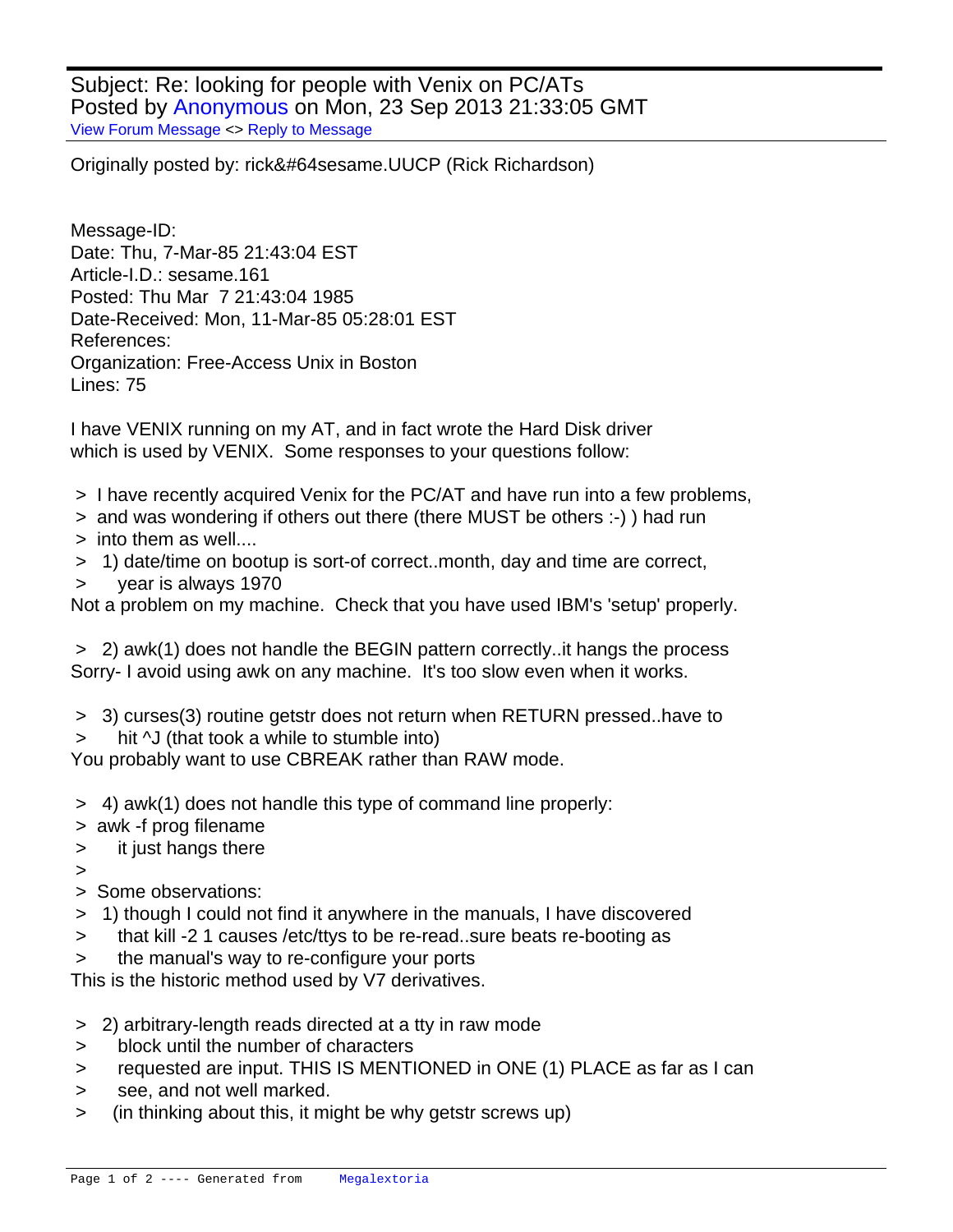Subject: Re: looking for people with Venix on PC/ATs Posted by [Anonymous](http://www.megalextoria.com/forum2/index.php?t=usrinfo&id=) on Mon, 23 Sep 2013 21:33:05 GMT [View Forum Message](http://www.megalextoria.com/forum2/index.php?t=rview&th=48598&goto=117339#msg_117339) <> [Reply to Message](http://www.megalextoria.com/forum2/index.php?t=post&reply_to=117339)

Originally posted by: rick&#64 sesame.UUCP (Rick Richardson)

Message-ID: Date: Thu, 7-Mar-85 21:43:04 EST Article-I.D.: sesame.161 Posted: Thu Mar 7 21:43:04 1985 Date-Received: Mon, 11-Mar-85 05:28:01 EST References: Organization: Free-Access Unix in Boston Lines: 75

I have VENIX running on my AT, and in fact wrote the Hard Disk driver which is used by VENIX. Some responses to your questions follow:

- > I have recently acquired Venix for the PC/AT and have run into a few problems,
- > and was wondering if others out there (there MUST be others :-) ) had run
- > into them as well....
- > 1) date/time on bootup is sort-of correct..month, day and time are correct,
- > year is always 1970

Not a problem on my machine. Check that you have used IBM's 'setup' properly.

 > 2) awk(1) does not handle the BEGIN pattern correctly..it hangs the process Sorry- I avoid using awk on any machine. It's too slow even when it works.

- > 3) curses(3) routine getstr does not return when RETURN pressed..have to
- hit  $\sqrt{J}$  (that took a while to stumble into)

You probably want to use CBREAK rather than RAW mode.

- > 4) awk(1) does not handle this type of command line properly:
- > awk -f prog filename
- > it just hangs there

 $\overline{\phantom{a}}$ 

- > Some observations:
- > 1) though I could not find it anywhere in the manuals, I have discovered
- > that kill -2 1 causes /etc/ttys to be re-read..sure beats re-booting as
- > the manual's way to re-configure your ports

This is the historic method used by V7 derivatives.

- > 2) arbitrary-length reads directed at a tty in raw mode
- > block until the number of characters
- > requested are input. THIS IS MENTIONED in ONE (1) PLACE as far as I can
- > see, and not well marked.
- > (in thinking about this, it might be why getstr screws up)